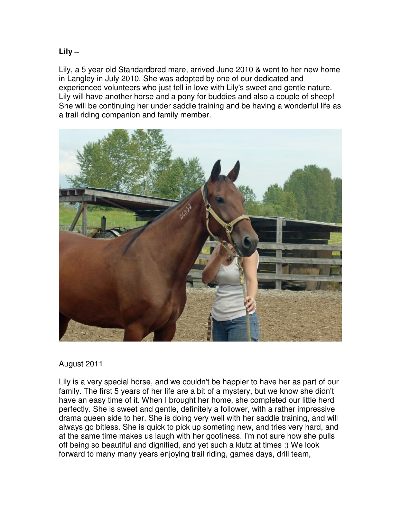**Lily –** 

Lily, a 5 year old Standardbred mare, arrived June 2010 & went to her new home in Langley in July 2010. She was adopted by one of our dedicated and experienced volunteers who just fell in love with Lily's sweet and gentle nature. Lily will have another horse and a pony for buddies and also a couple of sheep! She will be continuing her under saddle training and be having a wonderful life as a trail riding companion and family member.



## August 2011

Lily is a very special horse, and we couldn't be happier to have her as part of our family. The first 5 years of her life are a bit of a mystery, but we know she didn't have an easy time of it. When I brought her home, she completed our little herd perfectly. She is sweet and gentle, definitely a follower, with a rather impressive drama queen side to her. She is doing very well with her saddle training, and will always go bitless. She is quick to pick up someting new, and tries very hard, and at the same time makes us laugh with her goofiness. I'm not sure how she pulls off being so beautiful and dignified, and yet such a klutz at times :) We look forward to many many years enjoying trail riding, games days, drill team,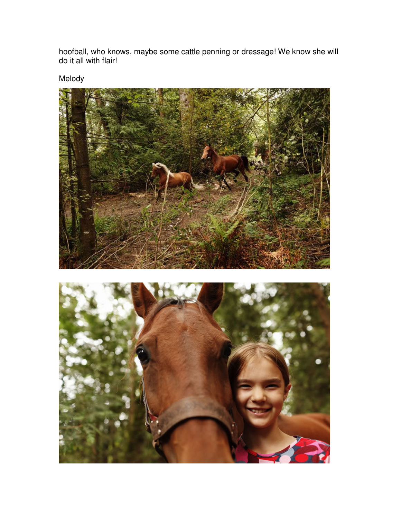hoofball, who knows, maybe some cattle penning or dressage! We know she will do it all with flair!

Melody